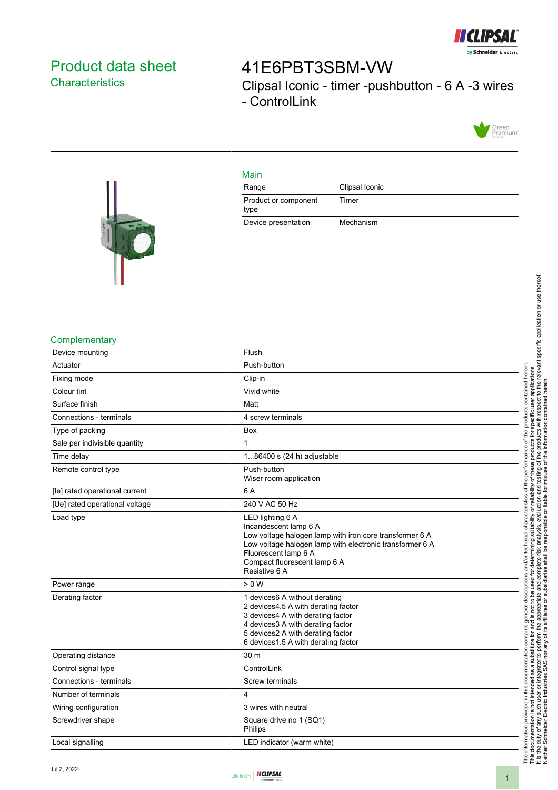

## <span id="page-0-0"></span>Product data sheet **Characteristics**

# 41E6PBT3SBM-VW Clipsal Iconic - timer -pushbutton - 6 A -3 wires - ControlLink



#### Main

| Range                        | Clipsal Iconic |
|------------------------------|----------------|
| Product or component<br>type | Timer          |
| Device presentation          | Mechanism      |



#### **Complementary**

| Device mounting                | Flush                                                                                                                                                                                                                                     |
|--------------------------------|-------------------------------------------------------------------------------------------------------------------------------------------------------------------------------------------------------------------------------------------|
| Actuator                       | Push-button                                                                                                                                                                                                                               |
| Fixing mode                    | Clip-in                                                                                                                                                                                                                                   |
| Colour tint                    | Vivid white                                                                                                                                                                                                                               |
| Surface finish                 | Matt                                                                                                                                                                                                                                      |
| Connections - terminals        | 4 screw terminals                                                                                                                                                                                                                         |
| Type of packing                | <b>Box</b>                                                                                                                                                                                                                                |
| Sale per indivisible quantity  | $\mathbf{1}$                                                                                                                                                                                                                              |
| Time delay                     | 186400 s (24 h) adjustable                                                                                                                                                                                                                |
| Remote control type            | Push-button<br>Wiser room application                                                                                                                                                                                                     |
| [le] rated operational current | 6 A                                                                                                                                                                                                                                       |
| [Ue] rated operational voltage | 240 V AC 50 Hz                                                                                                                                                                                                                            |
| Load type                      | LED lighting 6 A<br>Incandescent lamp 6 A<br>Low voltage halogen lamp with iron core transformer 6 A<br>Low voltage halogen lamp with electronic transformer 6 A<br>Fluorescent lamp 6 A<br>Compact fluorescent lamp 6 A<br>Resistive 6 A |
| Power range                    | > 0 W                                                                                                                                                                                                                                     |
| Derating factor                | 1 devices6 A without derating<br>2 devices 4.5 A with derating factor<br>3 devices4 A with derating factor<br>4 devices3 A with derating factor<br>5 devices2 A with derating factor<br>6 devices 1.5 A with derating factor              |
| Operating distance             | 30 m                                                                                                                                                                                                                                      |
| Control signal type            | ControlLink                                                                                                                                                                                                                               |
| Connections - terminals        | Screw terminals                                                                                                                                                                                                                           |
| Number of terminals            | 4                                                                                                                                                                                                                                         |
| Wiring configuration           | 3 wires with neutral                                                                                                                                                                                                                      |
| Screwdriver shape              | Square drive no 1 (SQ1)<br>Philips                                                                                                                                                                                                        |
| Local signalling               | LED indicator (warm white)                                                                                                                                                                                                                |